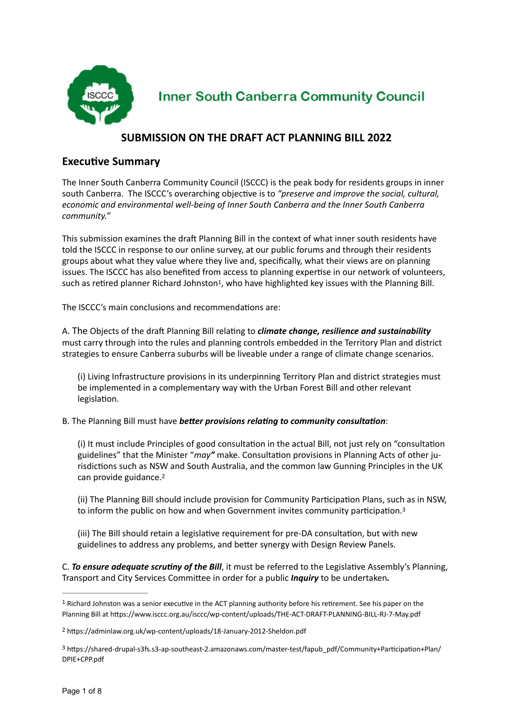

**Inner South Canberra Community Council** 

# **SUBMISSION ON THE DRAFT ACT PLANNING BILL 2022**

## **Executive Summary**

The Inner South Canberra Community Council (ISCCC) is the peak body for residents groups in inner south Canberra. The ISCCC's overarching objective is to *"preserve and improve the social, cultural, economic and environmental well-being of Inner South Canberra and the Inner South Canberra community."*

This submission examines the draft Planning Bill in the context of what inner south residents have told the ISCCC in response to our online survey, at our public forums and through their residents groups about what they value where they live and, specifically, what their views are on planning issues. The ISCCC has also benefited from access to planning expertise in our network of volunteers, such as retired planner Richard Johnston<sup>[1](#page-0-0)</sup>, who have highlighted key issues with the Planning Bill.

<span id="page-0-3"></span>The ISCCC's main conclusions and recommendations are:

A. The Objects of the draft Planning Bill relating to *climate change, resilience and sustainability* must carry through into the rules and planning controls embedded in the Territory Plan and district strategies to ensure Canberra suburbs will be liveable under a range of climate change scenarios.

(i) Living Infrastructure provisions in its underpinning Territory Plan and district strategies must be implemented in a complementary way with the Urban Forest Bill and other relevant legislation.

B. The Planning Bill must have *better provisions relating to community consultation*:

(i) It must include Principles of good consultation in the actual Bill, not just rely on "consultation guidelines" that the Minister "*may"* make. Consultation provisions in Planning Acts of other jurisdictions such as NSW and South Australia, and the common law Gunning Principles in the UK can provide guidance.[2](#page-0-1)

<span id="page-0-5"></span><span id="page-0-4"></span>(ii) The Planning Bill should include provision for Community Participation Plans, such as in NSW, to inform the public on how and when Government invites community participation.<sup>[3](#page-0-2)</sup>

(iii) The Bill should retain a legislative requirement for pre-DA consultation, but with new guidelines to address any problems, and better synergy with Design Review Panels.

C. *To ensure adequate scrutiny of the Bill*, it must be referred to the Legislative Assembly's Planning, Transport and City Services Committee in order for a public *Inquiry* to be undertaken*.*

<span id="page-0-0"></span> $1$ Richard Johnston was a senior executive in the ACT planning authority before his retirement. See his paper on the Planning Bill at https://www.isccc.org.au/isccc/wp-content/uploads/THE-ACT-DRAFT-PLANNING-BILL-RJ-7-May.pdf

<span id="page-0-1"></span>https://adminlaw.org.uk/wp-content/uploads/18-January-2012-Sheldon.pdf [2](#page-0-4)

<span id="page-0-2"></span>https://shared-drupal-s3fs.s3-ap-southeast-2.amazonaws.com/master-test/fapub\_pdf/Community+Participation+Plan/ [3](#page-0-5) DPIE+CPP.pdf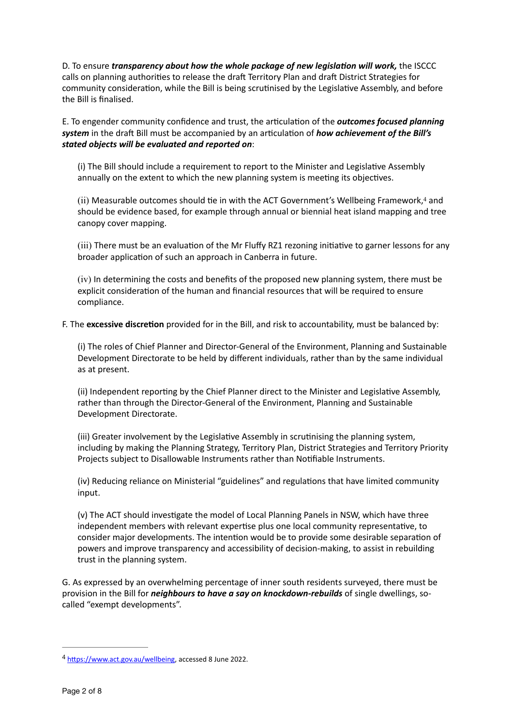D. To ensure *transparency about how the whole package of new legislation will work,* the ISCCC calls on planning authorities to release the draft Territory Plan and draft District Strategies for community consideration, while the Bill is being scrutinised by the Legislative Assembly, and before the Bill is finalised.

E. To engender community confidence and trust, the articulation of the *outcomes focused planning system* in the draft Bill must be accompanied by an articulation of *how achievement of the Bill's stated objects will be evaluated and reported on*:

(i) The Bill should include a requirement to report to the Minister and Legislative Assembly annually on the extent to which the new planning system is meeting its objectives.

<span id="page-1-1"></span>(ii) Measurable outcomes should tie in with the ACT Government's Wellbeing Framework, $4$  and should be evidence based, for example through annual or biennial heat island mapping and tree canopy cover mapping.

(iii) There must be an evaluation of the Mr Fluffy RZ1 rezoning initiative to garner lessons for any broader application of such an approach in Canberra in future.

(iv) In determining the costs and benefits of the proposed new planning system, there must be explicit consideration of the human and financial resources that will be required to ensure compliance.

F. The **excessive discretion** provided for in the Bill, and risk to accountability, must be balanced by:

(i) The roles of Chief Planner and Director-General of the Environment, Planning and Sustainable Development Directorate to be held by different individuals, rather than by the same individual as at present.

(ii) Independent reporting by the Chief Planner direct to the Minister and Legislative Assembly, rather than through the Director-General of the Environment, Planning and Sustainable Development Directorate.

(iii) Greater involvement by the Legislative Assembly in scrutinising the planning system, including by making the Planning Strategy, Territory Plan, District Strategies and Territory Priority Projects subject to Disallowable Instruments rather than Notifiable Instruments.

(iv) Reducing reliance on Ministerial "guidelines" and regulations that have limited community input.

(v) The ACT should investigate the model of Local Planning Panels in NSW, which have three independent members with relevant expertise plus one local community representative, to consider major developments. The intention would be to provide some desirable separation of powers and improve transparency and accessibility of decision-making, to assist in rebuilding trust in the planning system.

G. As expressed by an overwhelming percentage of inner south residents surveyed, there must be provision in the Bill for *neighbours to have a say on knockdown-rebuilds* of single dwellings, socalled "exempt developments".

<span id="page-1-0"></span><sup>4</sup> [https://www.act.gov.au/wellbeing,](https://www.act.gov.au/wellbeing) accessed 8 June 2022.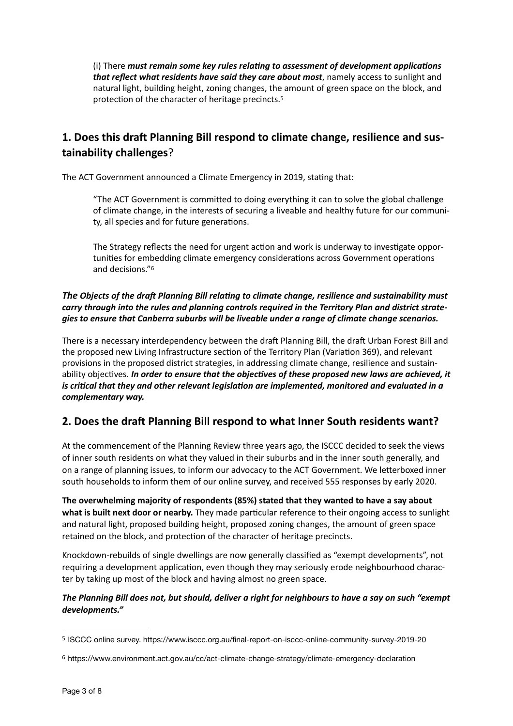<span id="page-2-2"></span>(i) There *must remain some key rules relating to assessment of development applications that reflect what residents have said they care about most*, namely access to sunlight and natural light, building height, zoning changes, the amount of green space on the block, and protection of the character of heritage precincts[.5](#page-2-0)

# **1. Does this draft Planning Bill respond to climate change, resilience and sustainability challenges**?

The ACT Government announced a Climate Emergency in 2019, stating that:

"The ACT Government is committed to doing everything it can to solve the global challenge of climate change, in the interests of securing a liveable and healthy future for our community, all species and for future generations.

<span id="page-2-3"></span>The Strategy reflects the need for urgent action and work is underway to investigate opportunities for embedding climate emergency considerations across Government operations and decisions.["6](#page-2-1)

### *The Objects of the draft Planning Bill relating to climate change, resilience and sustainability must carry through into the rules and planning controls required in the Territory Plan and district strategies to ensure that Canberra suburbs will be liveable under a range of climate change scenarios.*

There is a necessary interdependency between the draft Planning Bill, the draft Urban Forest Bill and the proposed new Living Infrastructure section of the Territory Plan (Variation 369), and relevant provisions in the proposed district strategies, in addressing climate change, resilience and sustainability objectives. *In order to ensure that the objectives of these proposed new laws are achieved, it is critical that they and other relevant legislation are implemented, monitored and evaluated in a complementary way.*

# **2. Does the draft Planning Bill respond to what Inner South residents want?**

At the commencement of the Planning Review three years ago, the ISCCC decided to seek the views of inner south residents on what they valued in their suburbs and in the inner south generally, and on a range of planning issues, to inform our advocacy to the ACT Government. We letterboxed inner south households to inform them of our online survey, and received 555 responses by early 2020.

**The overwhelming majority of respondents (85%) stated that they wanted to have a say about what is built next door or nearby.** They made particular reference to their ongoing access to sunlight and natural light, proposed building height, proposed zoning changes, the amount of green space retained on the block, and protection of the character of heritage precincts.

Knockdown-rebuilds of single dwellings are now generally classified as "exempt developments", not requiring a development application, even though they may seriously erode neighbourhood character by taking up most of the block and having almost no green space.

### *The Planning Bill does not, but should, deliver a right for neighbours to have a say on such "exempt developments."*

<span id="page-2-0"></span>[<sup>5</sup>](#page-2-2) ISCCC online survey. https://www.isccc.org.au/final-report-on-isccc-online-community-survey-2019-20

<span id="page-2-1"></span>[<sup>6</sup>](#page-2-3) https://www.environment.act.gov.au/cc/act-climate-change-strategy/climate-emergency-declaration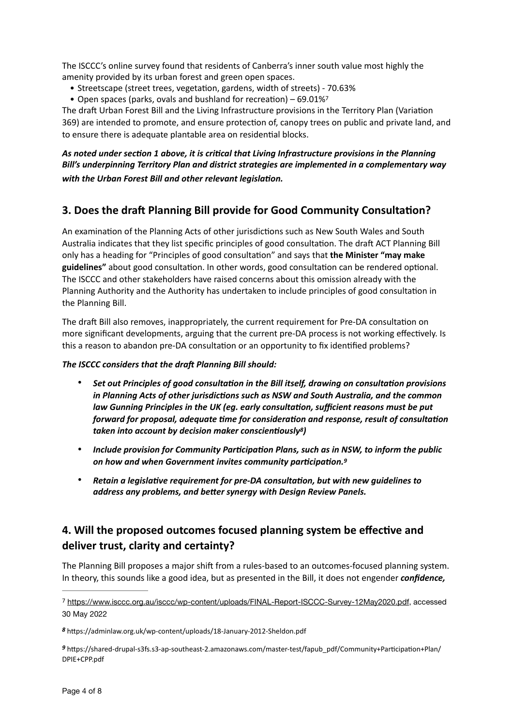The ISCCC's online survey found that residents of Canberra's inner south value most highly the amenity provided by its urban forest and green open spaces.

- Streetscape (street trees, vegetation, gardens, width of streets) 70.63%
- <span id="page-3-3"></span>• Open spaces (parks, ovals and bushland for recreation) – 69.01[%7](#page-3-0)

The draft Urban Forest Bill and the Living Infrastructure provisions in the Territory Plan (Variation 369) are intended to promote, and ensure protection of, canopy trees on public and private land, and to ensure there is adequate plantable area on residential blocks.

### *As noted under section 1 above, it is critical that Living Infrastructure provisions in the Planning Bill's underpinning Territory Plan and district strategies are implemented in a complementary way with the Urban Forest Bill and other relevant legislation.*

## **3. Does the draft Planning Bill provide for Good Community Consultation?**

An examination of the Planning Acts of other jurisdictions such as New South Wales and South Australia indicates that they list specific principles of good consultation. The draft ACT Planning Bill only has a heading for "Principles of good consultation" and says that **the Minister "may make guidelines"** about good consultation. In other words, good consultation can be rendered optional. The ISCCC and other stakeholders have raised concerns about this omission already with the Planning Authority and the Authority has undertaken to include principles of good consultation in the Planning Bill.

The draft Bill also removes, inappropriately, the current requirement for Pre-DA consultation on more significant developments, arguing that the current pre-DA process is not working effectively. Is this a reason to abandon pre-DA consultation or an opportunity to fix identified problems?

#### *The ISCCC considers that the draft Planning Bill should:*

- *Set out Principles of good consultation in the Bill itself, drawing on consultation provisions in Planning Acts of other jurisdictions such as NSW and South Australia, and the common law Gunning Principles in the UK (eg. early consultation, sufficient reasons must be put forward for proposal, adequate time for consideration and response, result of consultation taken into account by decision maker conscientiously<sup>8</sup>[\)](#page-3-1)*
- <span id="page-3-5"></span><span id="page-3-4"></span>• *Include provision for Community Participation Plans, such as in NSW, to inform the public on how and when Government invites community participation.[9](#page-3-2)*
- *Retain a legislative requirement for pre-DA consultation, but with new guidelines to address any problems, and better synergy with Design Review Panels.*

## **4. Will the proposed outcomes focused planning system be effective and deliver trust, clarity and certainty?**

The Planning Bill proposes a major shift from a rules-based to an outcomes-focused planning system. In theory, this sounds like a good idea, but as presented in the Bill, it does not engender *confidence,* 

<span id="page-3-0"></span><https://www.isccc.org.au/isccc/wp-content/uploads/FINAL-Report-ISCCC-Survey-12May2020.pdf>, accessed [7](#page-3-3) 30 May 2022

<span id="page-3-1"></span>https://adminlaw.org.uk/wp-content/uploads/18-January-2012-Sheldon.pdf *[8](#page-3-4)*

<span id="page-3-2"></span>https://shared-drupal-s3fs.s3-ap-southeast-2.amazonaws.com/master-test/fapub\_pdf/Community+Participation+Plan/ *[9](#page-3-5)* DPIE+CPP.pdf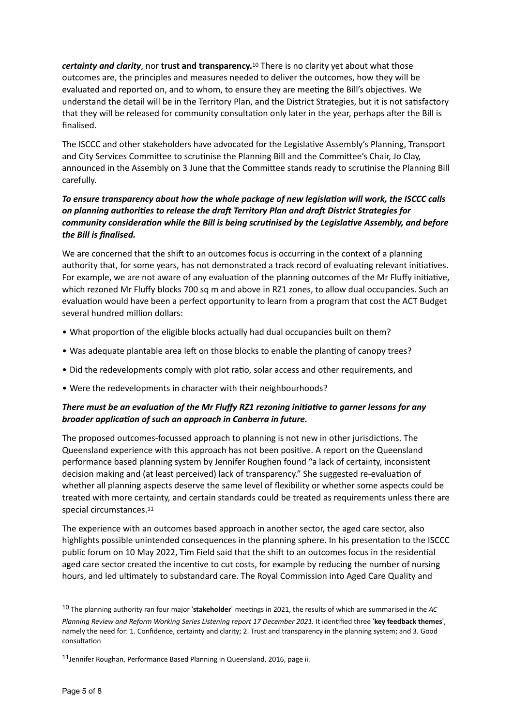<span id="page-4-2"></span>*certainty and clarity*, nor *trust and transparency*.<sup>[10](#page-4-0)</sup> There is no clarity yet about what those outcomes are, the principles and measures needed to deliver the outcomes, how they will be evaluated and reported on, and to whom, to ensure they are meeting the Bill's objectives. We understand the detail will be in the Territory Plan, and the District Strategies, but it is not satisfactory that they will be released for community consultation only later in the year, perhaps after the Bill is finalised.

The ISCCC and other stakeholders have advocated for the Legislative Assembly's Planning, Transport and City Services Committee to scrutinise the Planning Bill and the Committee's Chair, Jo Clay, announced in the Assembly on 3 June that the Committee stands ready to scrutinise the Planning Bill carefully.

### *To ensure transparency about how the whole package of new legislation will work, the ISCCC calls on planning authorities to release the draft Territory Plan and draft District Strategies for community consideration while the Bill is being scrutinised by the Legislative Assembly, and before the Bill is finalised.*

We are concerned that the shift to an outcomes focus is occurring in the context of a planning authority that, for some years, has not demonstrated a track record of evaluating relevant initiatives. For example, we are not aware of any evaluation of the planning outcomes of the Mr Fluffy initiative, which rezoned Mr Fluffy blocks 700 sq m and above in RZ1 zones, to allow dual occupancies. Such an evaluation would have been a perfect opportunity to learn from a program that cost the ACT Budget several hundred million dollars:

- What proportion of the eligible blocks actually had dual occupancies built on them?
- Was adequate plantable area left on those blocks to enable the planting of canopy trees?
- Did the redevelopments comply with plot ratio, solar access and other requirements, and
- Were the redevelopments in character with their neighbourhoods?

### *There must be an evaluation of the Mr Fluffy RZ1 rezoning initiative to garner lessons for any broader application of such an approach in Canberra in future.*

The proposed outcomes-focussed approach to planning is not new in other jurisdictions. The Queensland experience with this approach has not been positive. A report on the Queensland performance based planning system by Jennifer Roughen found "a lack of certainty, inconsistent decision making and (at least perceived) lack of transparency." She suggested re-evaluation of whether all planning aspects deserve the same level of flexibility or whether some aspects could be treated with more certainty, and certain standards could be treated as requirements unless there are special circumstances[.11](#page-4-1)

<span id="page-4-3"></span>The experience with an outcomes based approach in another sector, the aged care sector, also highlights possible unintended consequences in the planning sphere. In his presentation to the ISCCC public forum on 10 May 2022, Tim Field said that the shift to an outcomes focus in the residential aged care sector created the incentive to cut costs, for example by reducing the number of nursing hours, and led ultimately to substandard care. The Royal Commission into Aged Care Quality and

<span id="page-4-0"></span>The planning authority ran four major !**stakeholder**" meetings in 2021, the results of which are summarised in the *AC* [10](#page-4-2) *Planning Review and Reform Working Series Listening report 17 December 2021.* It identified three !**key feedback themes**", namely the need for: 1. Confidence, certainty and clarity; 2. Trust and transparency in the planning system; and 3. Good consultation

<span id="page-4-1"></span> $11$ Jennifer Roughan, Performance Based Planning in Queensland, 2016, page ii.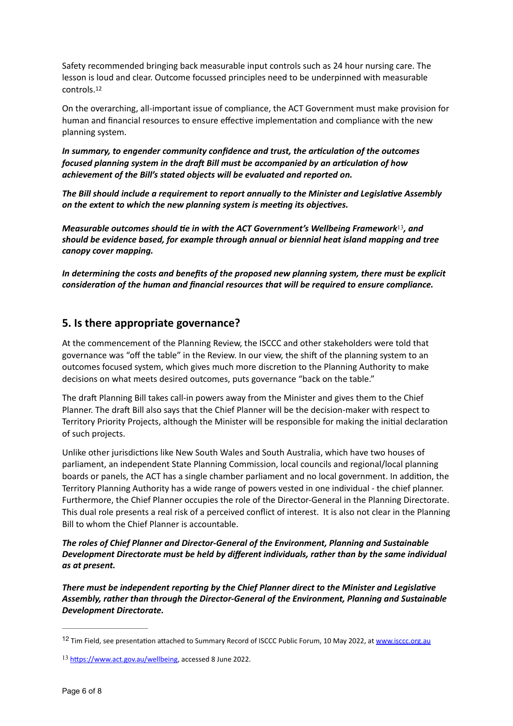Safety recommended bringing back measurable input controls such as 24 hour nursing care. The lesson is loud and clear. Outcome focussed principles need to be underpinned with measurable controls.[12](#page-5-0)

<span id="page-5-2"></span>On the overarching, all-important issue of compliance, the ACT Government must make provision for human and financial resources to ensure effective implementation and compliance with the new planning system.

*In summary, to engender community confidence and trust, the articulation of the outcomes focused planning system in the draft Bill must be accompanied by an articulation of how achievement of the Bill's stated objects will be evaluated and reported on.*

*The Bill should include a requirement to report annually to the Minister and Legislative Assembly on the extent to which the new planning system is meeting its objectives.* 

<span id="page-5-3"></span>*Measurable outcomes should tie in with the ACT Government's Wellbeing Framework*<sup>[13](#page-5-1)</sup>, and *should be evidence based, for example through annual or biennial heat island mapping and tree canopy cover mapping.*

*In determining the costs and benefits of the proposed new planning system, there must be explicit consideration of the human and financial resources that will be required to ensure compliance.*

## **5. Is there appropriate governance?**

At the commencement of the Planning Review, the ISCCC and other stakeholders were told that governance was "off the table" in the Review. In our view, the shift of the planning system to an outcomes focused system, which gives much more discretion to the Planning Authority to make decisions on what meets desired outcomes, puts governance "back on the table."

The draft Planning Bill takes call-in powers away from the Minister and gives them to the Chief Planner. The draft Bill also says that the Chief Planner will be the decision-maker with respect to Territory Priority Projects, although the Minister will be responsible for making the initial declaration of such projects.

Unlike other jurisdictions like New South Wales and South Australia, which have two houses of parliament, an independent State Planning Commission, local councils and regional/local planning boards or panels, the ACT has a single chamber parliament and no local government. In addition, the Territory Planning Authority has a wide range of powers vested in one individual - the chief planner. Furthermore, the Chief Planner occupies the role of the Director-General in the Planning Directorate. This dual role presents a real risk of a perceived conflict of interest. It is also not clear in the Planning Bill to whom the Chief Planner is accountable.

*The roles of Chief Planner and Director-General of the Environment, Planning and Sustainable Development Directorate must be held by different individuals, rather than by the same individual as at present.*

*There must be independent reporting by the Chief Planner direct to the Minister and Legislative Assembly, rather than through the Director-General of the Environment, Planning and Sustainable Development Directorate.*

<span id="page-5-0"></span><sup>12</sup> Tim Field, see presentation attached to Summary Record of ISCCC Public Forum, 10 May 2022, at [www.isccc.org.au](http://www.isccc.org.au)

<span id="page-5-1"></span><sup>13</sup> <https://www.act.gov.au/wellbeing>, accessed 8 June 2022.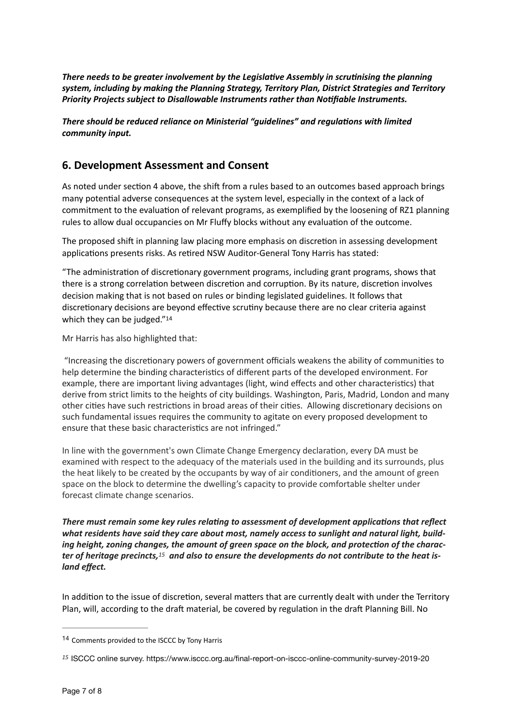*There needs to be greater involvement by the Legislative Assembly in scrutinising the planning system, including by making the Planning Strategy, Territory Plan, District Strategies and Territory Priority Projects subject to Disallowable Instruments rather than Notifiable Instruments.*

*There should be reduced reliance on Ministerial "guidelines" and regulations with limited community input.*

## **6. Development Assessment and Consent**

As noted under section 4 above, the shift from a rules based to an outcomes based approach brings many potential adverse consequences at the system level, especially in the context of a lack of commitment to the evaluation of relevant programs, as exemplified by the loosening of RZ1 planning rules to allow dual occupancies on Mr Fluffy blocks without any evaluation of the outcome.

The proposed shift in planning law placing more emphasis on discretion in assessing development applications presents risks. As retired NSW Auditor-General Tony Harris has stated:

"The administration of discretionary government programs, including grant programs, shows that there is a strong correlation between discretion and corruption. By its nature, discretion involves decision making that is not based on rules or binding legislated guidelines. It follows that discretionary decisions are beyond effective scrutiny because there are no clear criteria against which they can be judged."<sup>14</sup>

<span id="page-6-2"></span>Mr Harris has also highlighted that:

 "Increasing the discretionary powers of government officials weakens the ability of communities to help determine the binding characteristics of different parts of the developed environment. For example, there are important living advantages (light, wind effects and other characteristics) that derive from strict limits to the heights of city buildings. Washington, Paris, Madrid, London and many other cities have such restrictions in broad areas of their cities. Allowing discretionary decisions on such fundamental issues requires the community to agitate on every proposed development to ensure that these basic characteristics are not infringed."

In line with the government's own Climate Change Emergency declaration, every DA must be examined with respect to the adequacy of the materials used in the building and its surrounds, plus the heat likely to be created by the occupants by way of air conditioners, and the amount of green space on the block to determine the dwelling's capacity to provide comfortable shelter under forecast climate change scenarios.

<span id="page-6-3"></span>*There must remain some key rules relating to assessment of development applications that reflect what residents have said they care about most, namely access to sunlight and natural light, building height, zoning changes, the amount of green space on the block, and protection of the character of heritage precincts,* <sup>15</sup> and also to ensure the developments do not contribute to the heat is*land effect.*

In addition to the issue of discretion, several matters that are currently dealt with under the Territory Plan, will, according to the draft material, be covered by regulation in the draft Planning Bill. No

<span id="page-6-0"></span>[<sup>14</sup>](#page-6-2) Comments provided to the ISCCC by Tony Harris

<span id="page-6-1"></span>*[<sup>15</sup>](#page-6-3)* ISCCC online survey. https://www.isccc.org.au/final-report-on-isccc-online-community-survey-2019-20